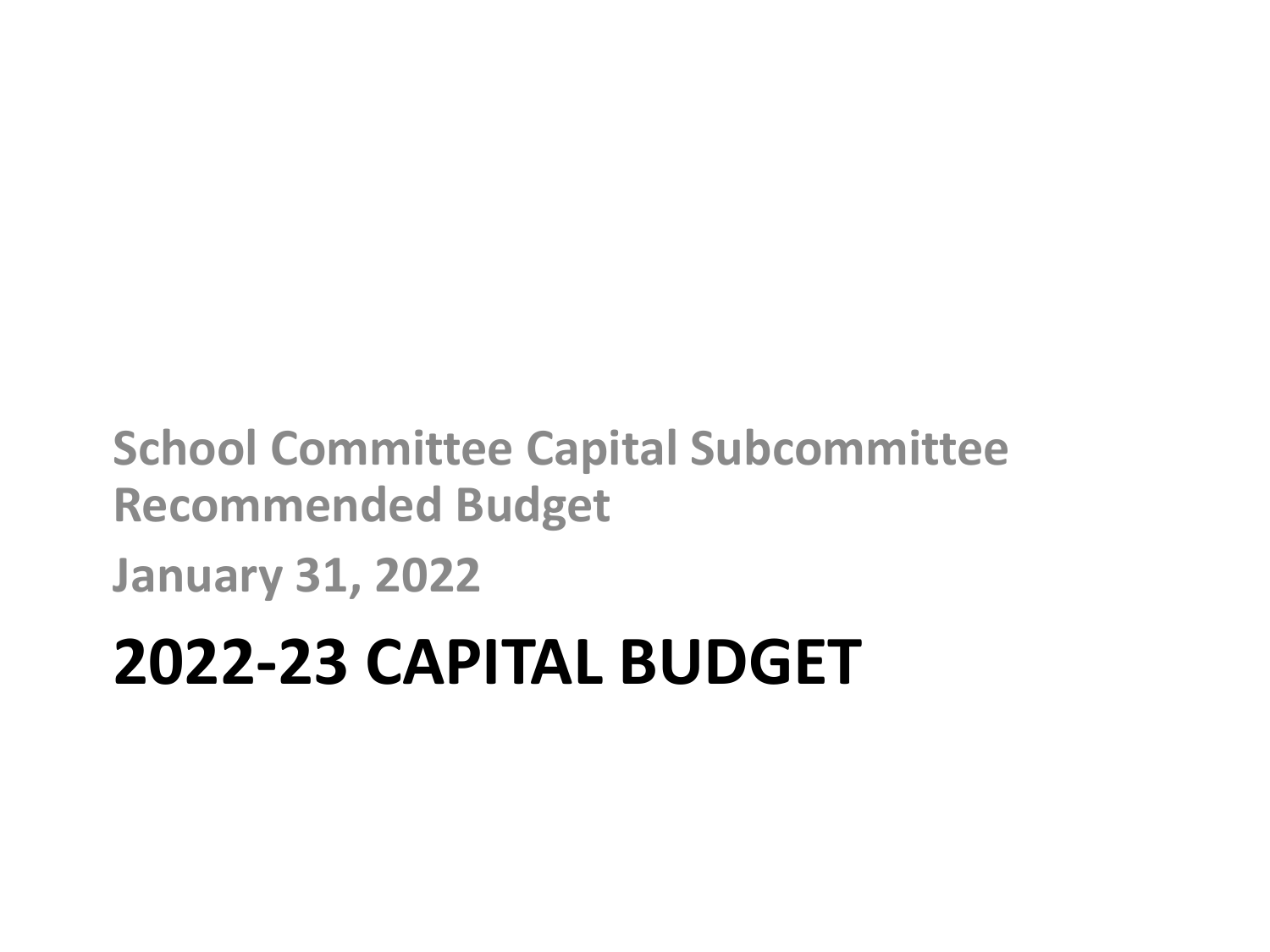**School Committee Capital Subcommittee Recommended Budget**

**January 31, 2022**

## **2022-23 CAPITAL BUDGET**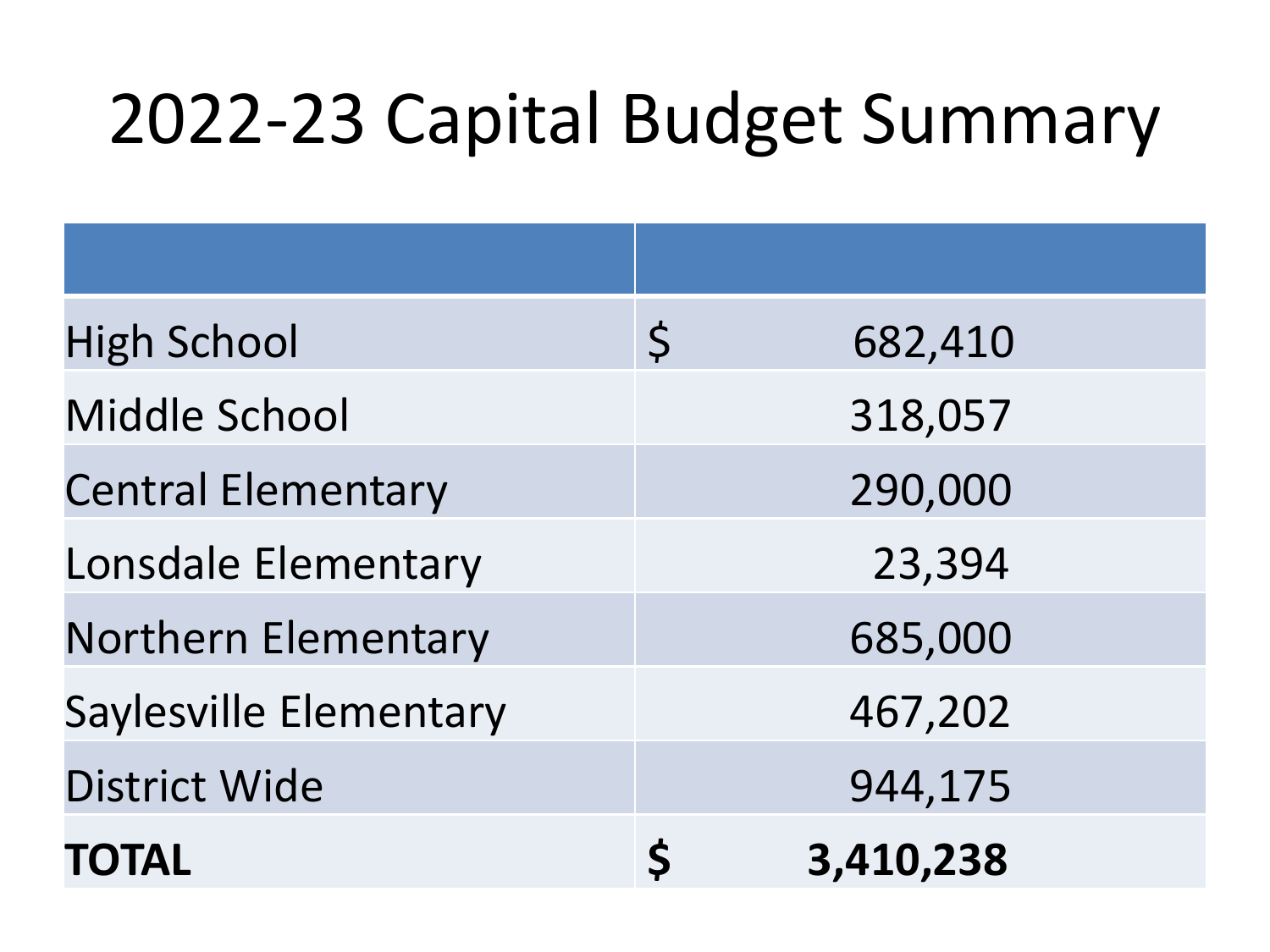# 2022-23 Capital Budget Summary

| <b>High School</b>         | $\zeta$ | 682,410   |
|----------------------------|---------|-----------|
| Middle School              |         | 318,057   |
| <b>Central Elementary</b>  |         | 290,000   |
| Lonsdale Elementary        |         | 23,394    |
| <b>Northern Elementary</b> |         | 685,000   |
| Saylesville Elementary     |         | 467,202   |
| <b>District Wide</b>       |         | 944,175   |
| <b>TOTAL</b>               |         | 3,410,238 |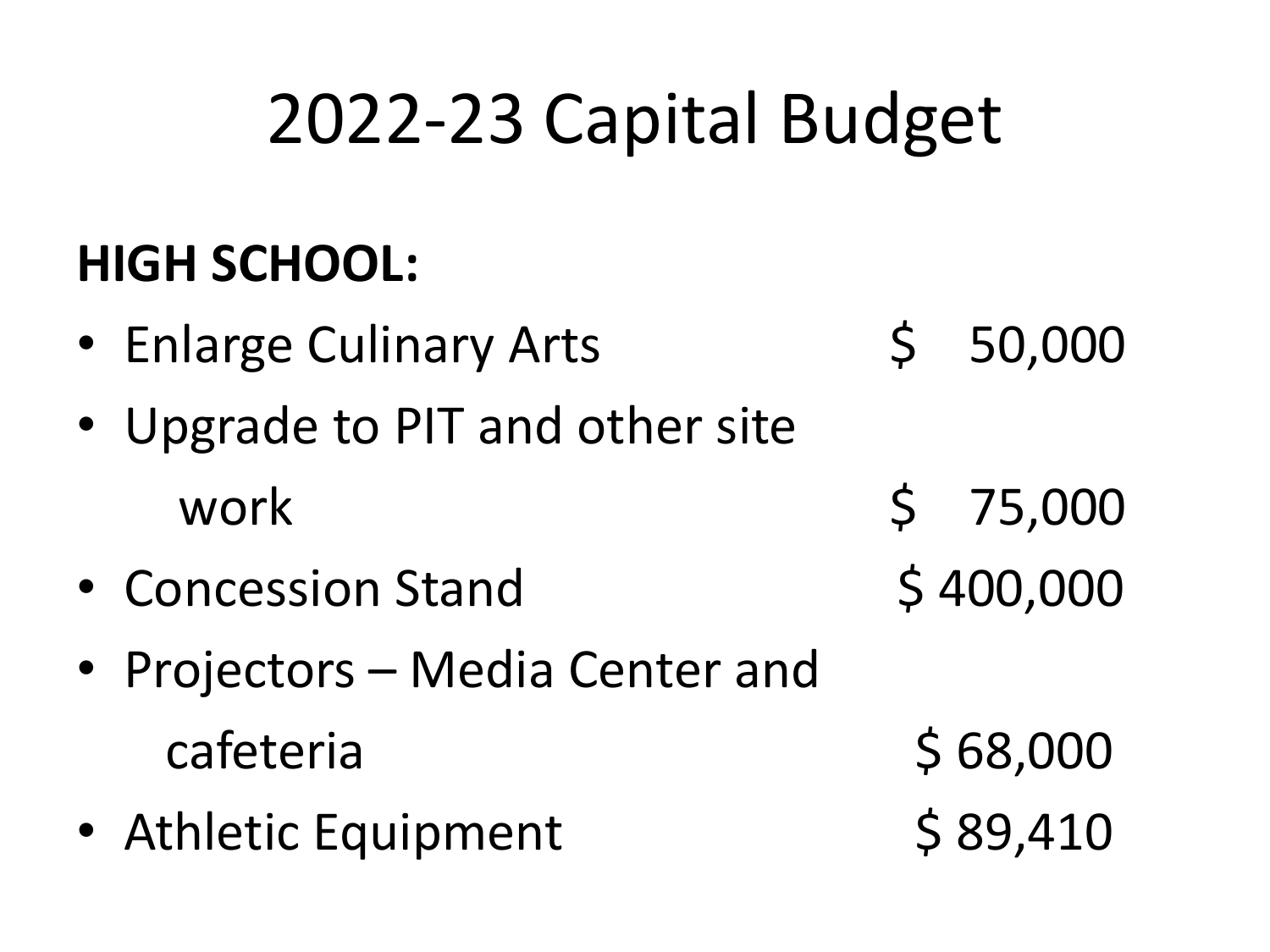### **HIGH SCHOOL:**

- Enlarge Culinary Arts \$ 50,000
- Upgrade to PIT and other site work \$ 75,000
- Concession Stand \$400,000
- Projectors Media Center and cafeteria \$ 68,000
- Athletic Equipment \$ 89,410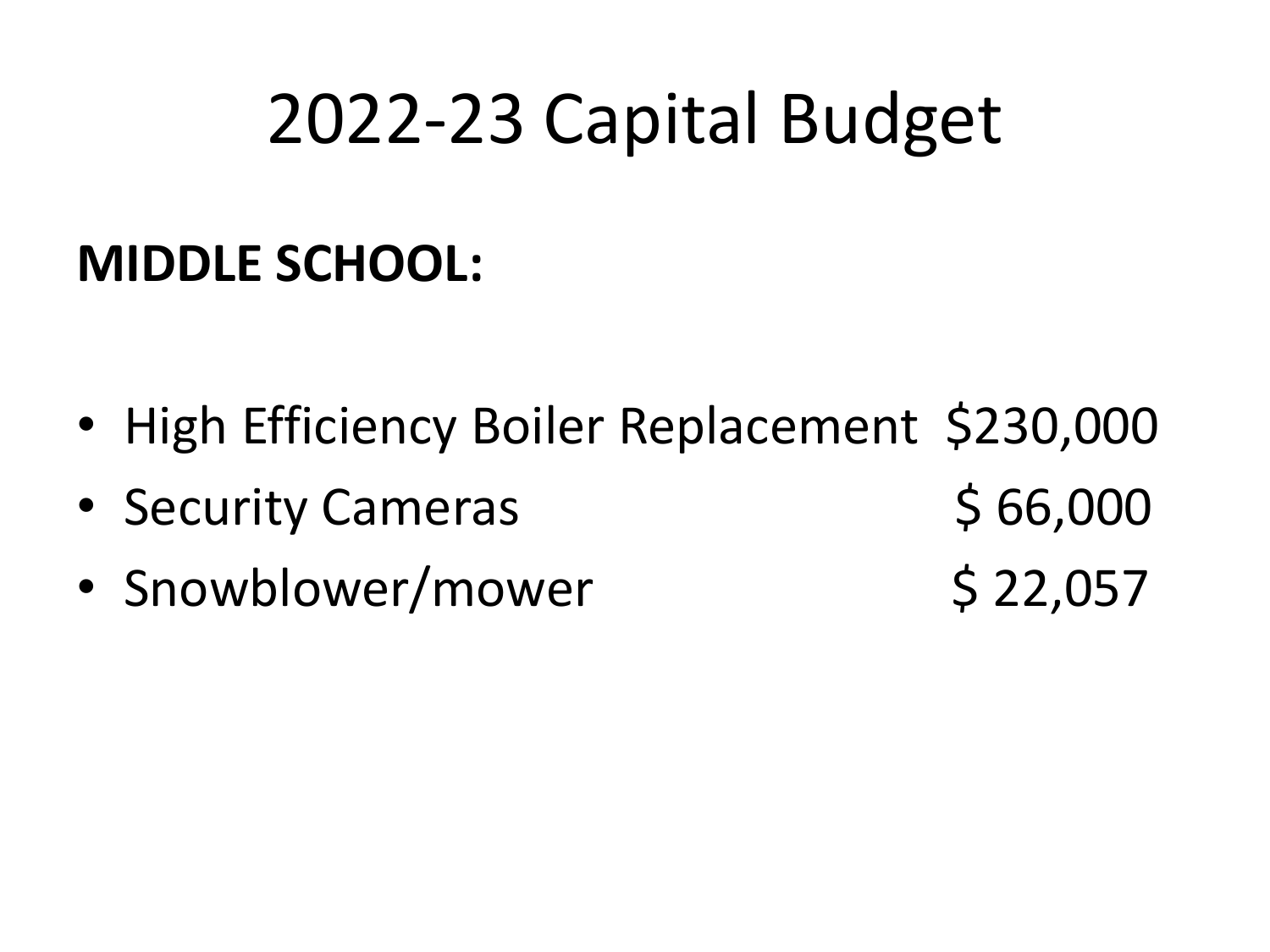### **MIDDLE SCHOOL:**

- High Efficiency Boiler Replacement \$230,000
- Security Cameras \$ 66,000
- Snowblower/mower \$ 22,057
-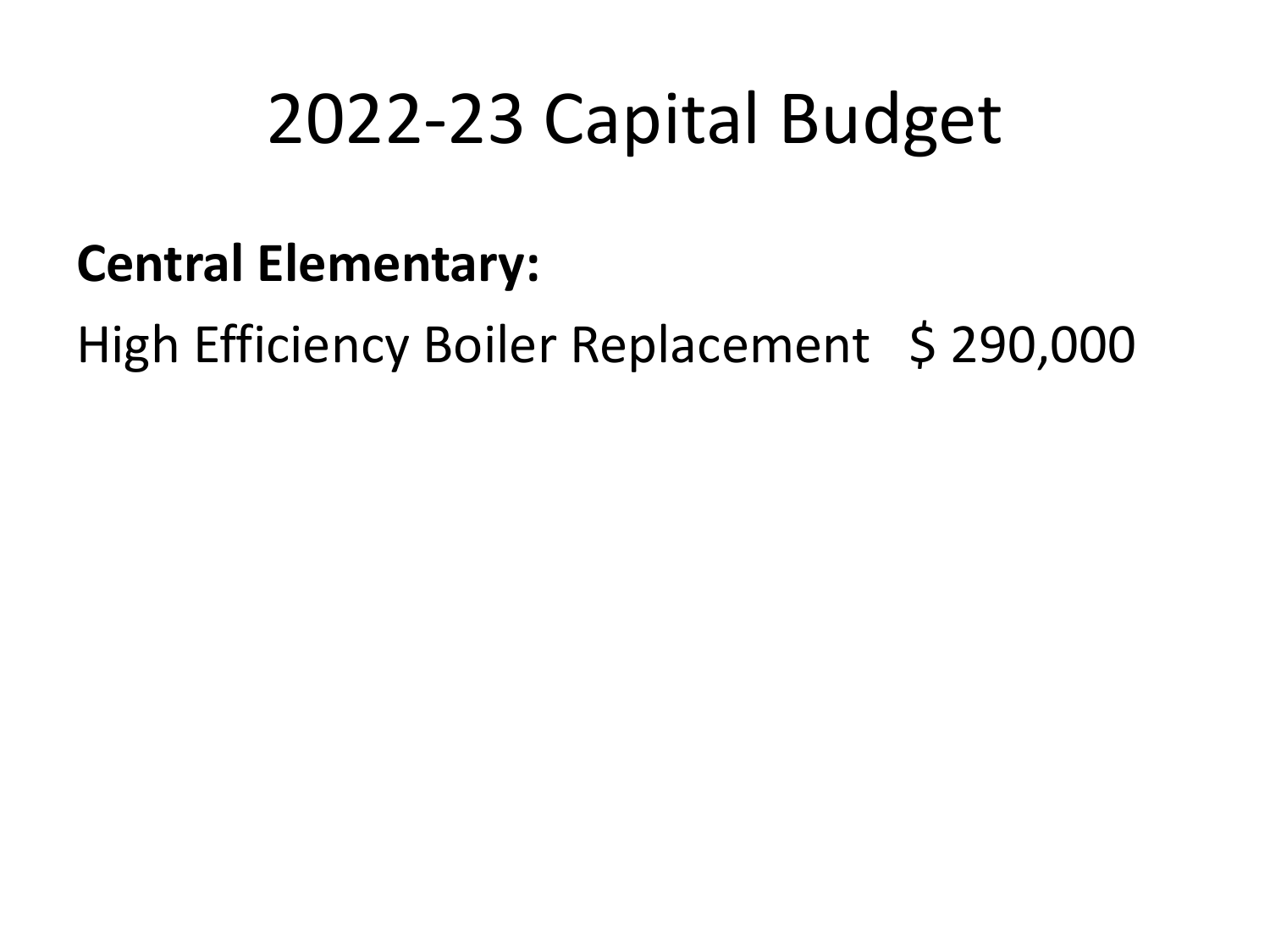#### **Central Elementary:**

High Efficiency Boiler Replacement \$ 290,000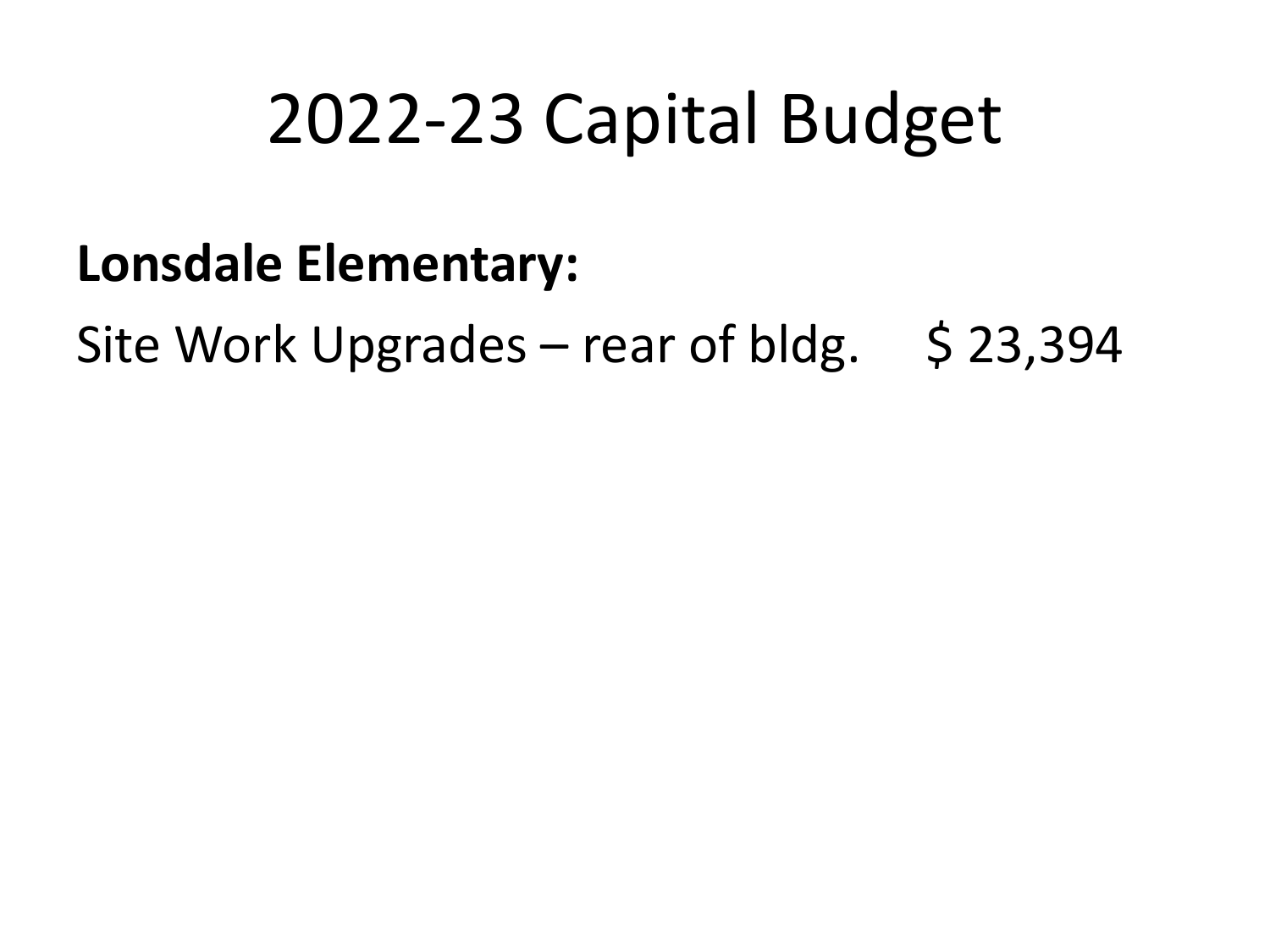#### **Lonsdale Elementary:**

Site Work Upgrades – rear of bldg.  $\;$  \$ 23,394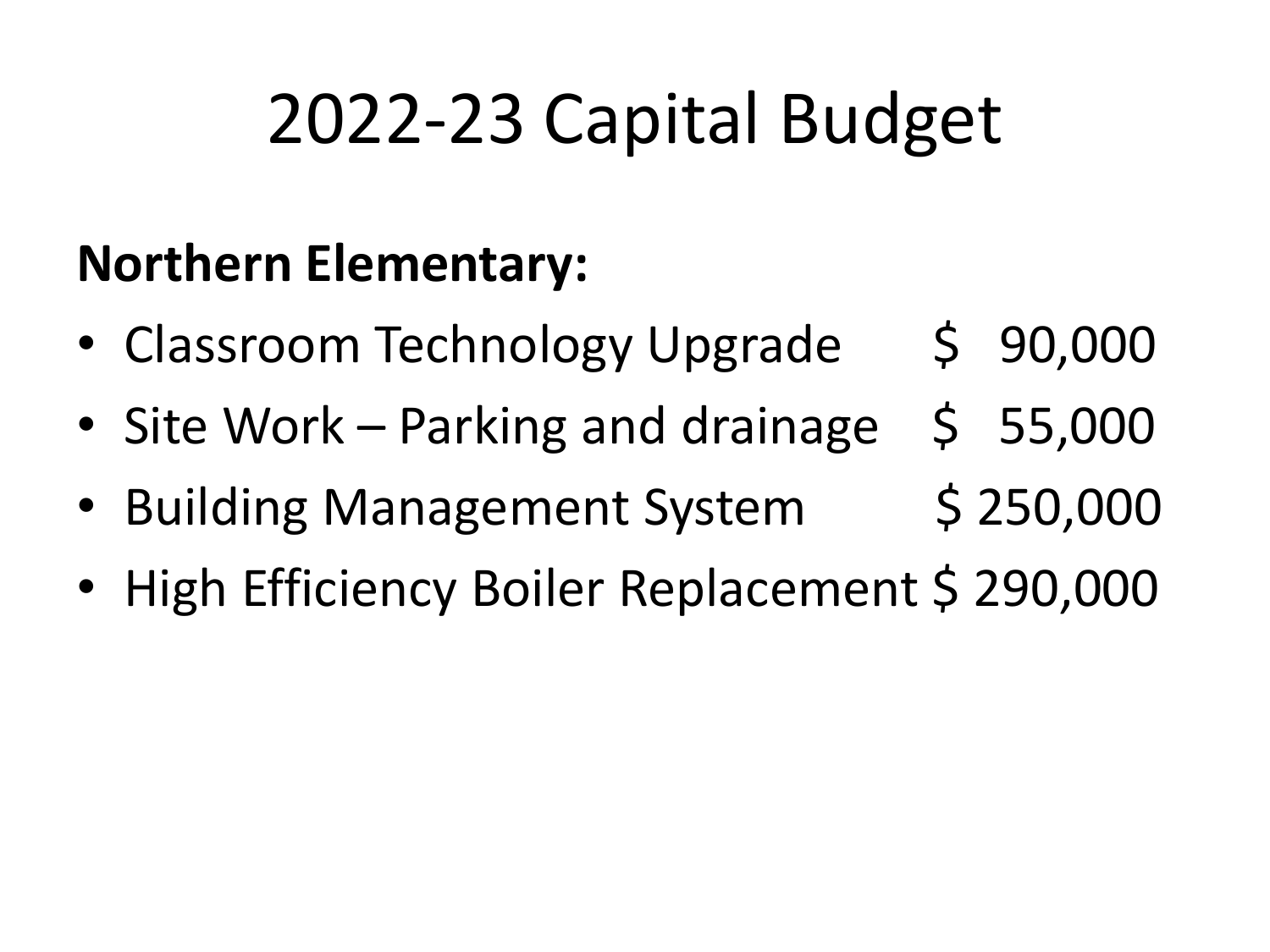### **Northern Elementary:**

- Classroom Technology Upgrade \$ 90,000
- Site Work Parking and drainage \$ 55,000
- Building Management System \$ 250,000
- High Efficiency Boiler Replacement \$ 290,000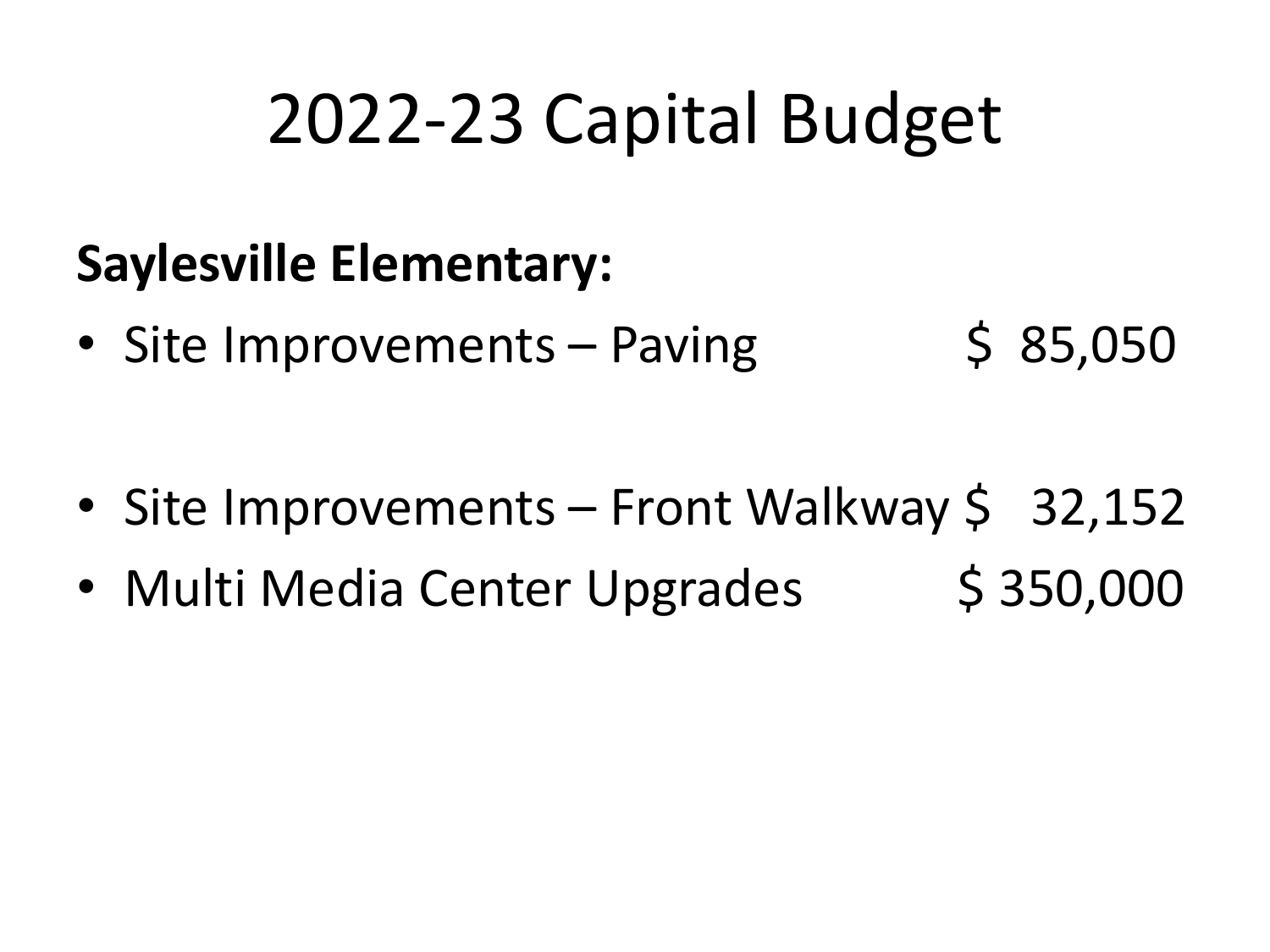### **Saylesville Elementary:**

• Site Improvements – Paving  $\leq$  85,050

- Site Improvements Front Walkway \$ 32,152
- Multi Media Center Upgrades \$ 350,000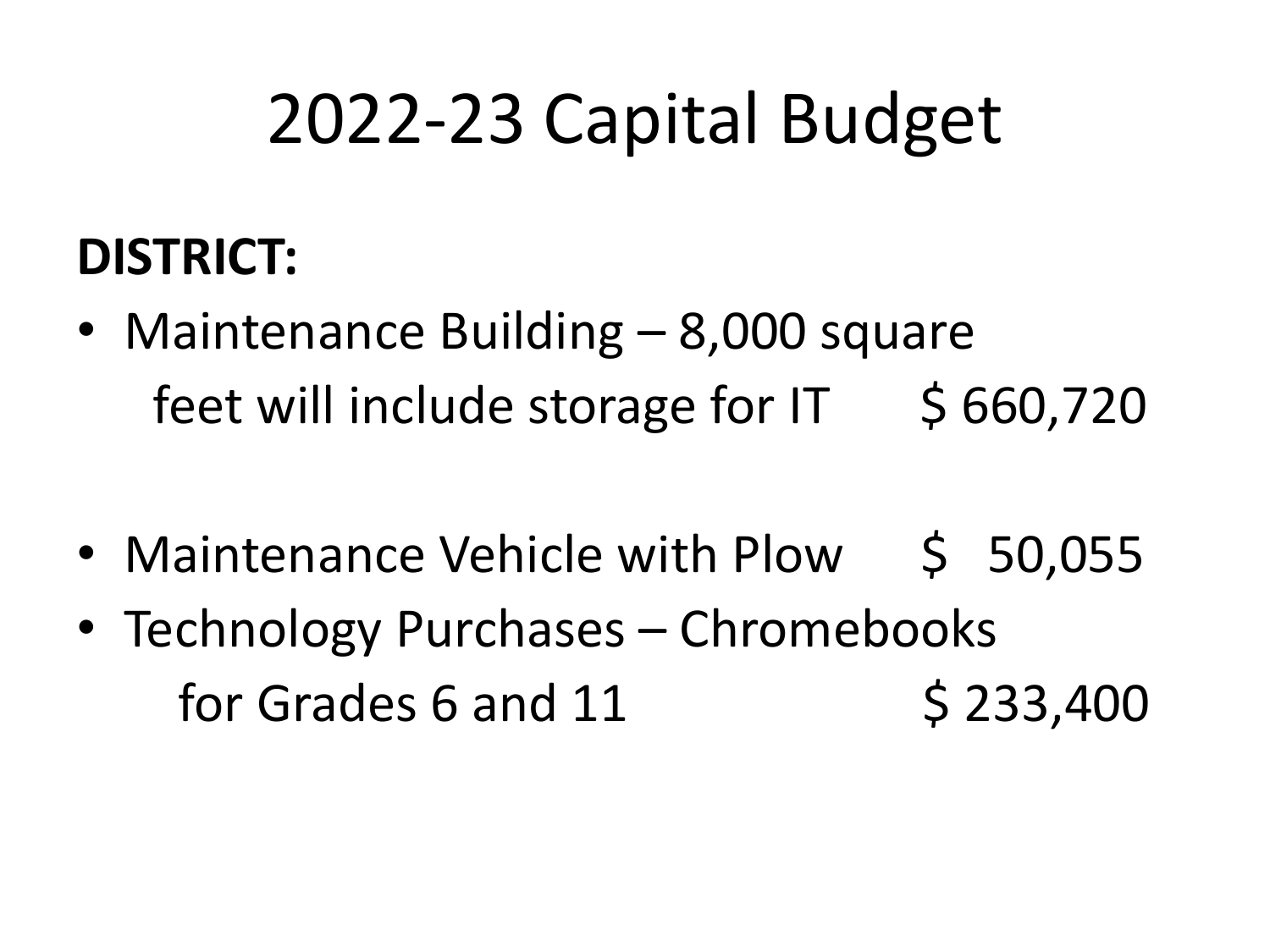## **DISTRICT:**

- Maintenance Building 8,000 square feet will include storage for  $IT$  \$ 660,720
- Maintenance Vehicle with Plow \$ 50,055
- Technology Purchases Chromebooks for Grades 6 and 11 \$ 233,400